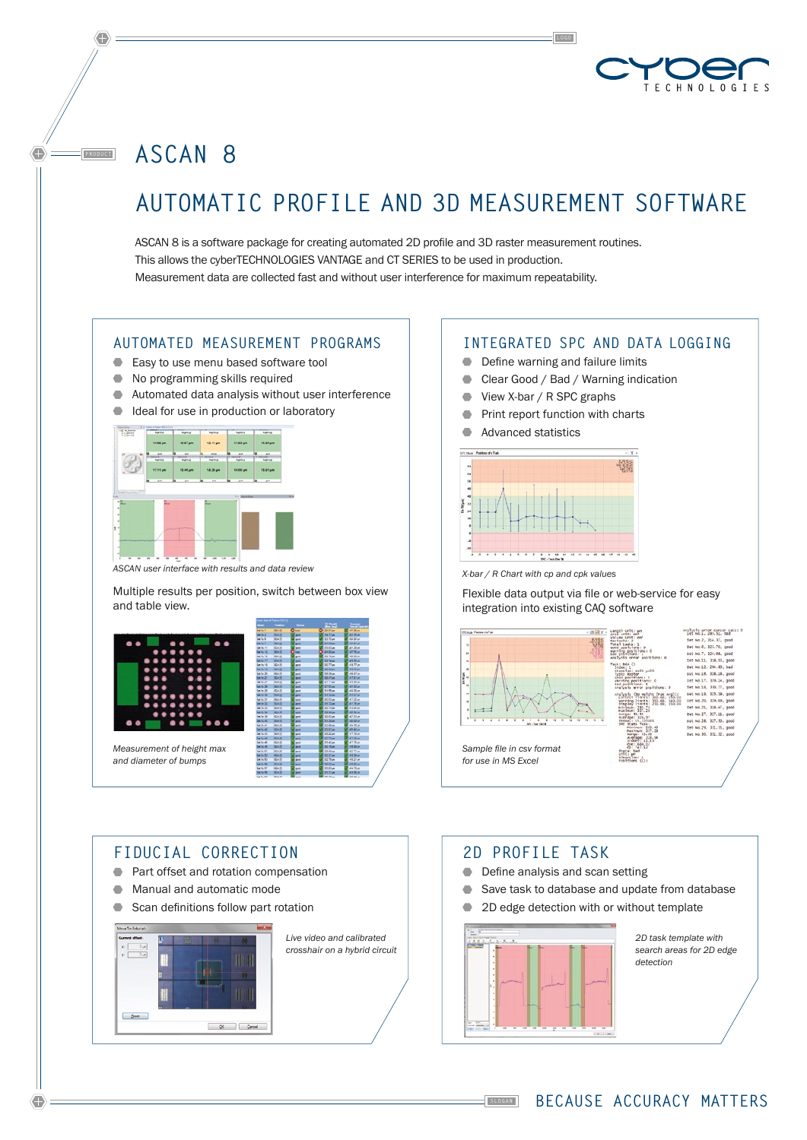

**ASCAN 8** 

**PRODUCT**

# **Automatic Profile and 3D Measurement Software**

ASCAN 8 is a software package for creating automated 2D profile and 3D raster measurement routines. This allows the cyberTECHNOLOGIES VANTAGE and CT SERIES to be used in production. Measurement data are collected fast and without user interference for maximum repeatability.

#### **Automated Measurement Programs**

- Easy to use menu based software tool
- $\bullet$  No programming skills required
- Automated data analysis without user interference
- Ideal for use in production or laboratory



*ASCAN user interface with results and data review* 

Multiple results per position, switch between box view and table view.



# **Fiducial Correction**

- **Part offset and rotation compensation**
- $\bullet$  Manual and automatic mode
- Scan definitions follow part rotation



*Live video and calibrated crosshair on a hybrid circuit* 

# **Integrated SPC and data logging**

- **■** Define warning and failure limits
- Clear Good / Bad / Warning indication
- View X-bar / R SPC graphs
- **Print report function with charts**
- Advanced statistics



*X-bar / R Chart with cp and cpk values*

Flexible data output via file or web-service for easy integration into existing CAQ software



#### **2D Profile Task**

- Define analysis and scan setting
- Save task to database and update from database
- 2D edge detection with or without template



*2D task template with search areas for 2D edge detection*